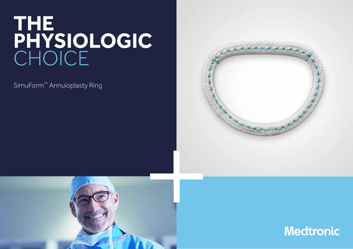# THE<br>PHYSIOLOGIC<br>CHOICE

SimuForm<sup>™</sup> Annuloplasty Ring





**Medtronic**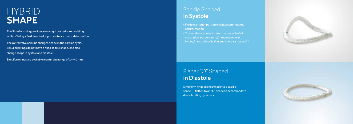## **HYBRID** SHAPE

The SimuForm ring provides semi-rigid posterior remodeling while offering a flexible anterior portion to accommodate motion.

The mitral valve annulus changes shape in the cardiac cycle. SimuForm rings do not have a fixed saddle shape, and also change shape in systole and diastole.

- natural motion
- Flexible anterior portion which accommodates<br>
natural motion<br>
The saddle has been shown to increase leaflet<br>
coaptation and curvature,<sup>1-3</sup> reduce annular<br>
forces,<sup>3,4</sup> and reduce leaflet and chordal stresse<br>
Planar "O" Sh **The saddle has been shown to increase leaflet** coaptation and curvature,<sup>1-3</sup> reduce annular forces, $3,4$  and reduce leaflet and chordal stresses $4-6$

SimuForm rings are available in a full size range of 24–40 mm.

#### Saddle Shaped in Systole

## Planar "O" Shaped

SimuForm rings are not fixed into a saddle shape — flatten to an "O" shape to accommodate diastolic filling dynamics.

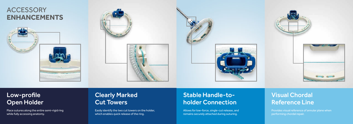## **ACCESSORY ENHANCEMENTS**







## Clearly Marked Cut Towers

### Low-profile Open Holder

Place sutures along the entire semi-rigid ring while fully accessing anatomy.

Easily identify the two cut towers on the holder, which enables quick release of the ring.

#### Stable Handle-toholder Connection

#### Visual Chordal Reference Line

Allows for low-force, single-cut release, and remains securely attached during suturing.



Provides visual reference of annular plane when performing chordal repair.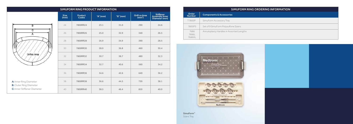|                     | SIMUFORM RING PRODUCT INFORMATION |          |          |                                    |                                                     |  |
|---------------------|-----------------------------------|----------|----------|------------------------------------|-----------------------------------------------------|--|
| <b>Size</b><br>(mm) | <b>Product</b><br>Codes           | "A" (mm) | "B" (mm) | Orifice Area<br>(mm <sup>2</sup> ) | <b>Stiffener</b><br>Assembly Inner<br>Diameter (mm) |  |
| 24                  | 7800RR24                          | 23.1     | 31.0     | 290                                | 24.6                                                |  |
| 26                  | 7800RR26                          | 25.0     | 32.9     | 340                                | 26.5                                                |  |
| 28                  | 7800RR28                          | 26.9     | 34.9     | 390                                | 28.5                                                |  |
| 30                  | 7800RR30                          | 28.9     | 36.8     | 460                                | 30.4                                                |  |
| 32                  | 7800RR32                          | 30.7     | 38.7     | 480                                | 32.3                                                |  |
| 34                  | 7800RR34                          | 32.7     | 40.6     | 560                                | 34.2                                                |  |
| 36                  | 7800RR36                          | 34.6     | 42.6     | 640                                | 36.2                                                |  |
| 38                  | 7800RR38                          | 36.6     | 44.5     | 730                                | 38.1                                                |  |
| 40                  | 7800RR40                          | 38.5     | 46.4     | 810                                | 40.0                                                |  |

SimuForm™ Sizers Tray



| A: Inner Ring Diameter        |
|-------------------------------|
| <b>B:</b> Outer Ring Diameter |

C: Inner Stiffener Diamete

SIMUFORM RING ORDERING INFORMATION

| Order<br><b>Number</b>  | <b>Components &amp; Accessories</b>      |
|-------------------------|------------------------------------------|
| T7800P                  | SimuForm Accessory Tray                  |
| 7800PS                  | Set of 9 SimuForm Polysulfone Sizers     |
| 7686<br>76861<br>7686XL | Annuloplasty Handles in Assorted Lengths |